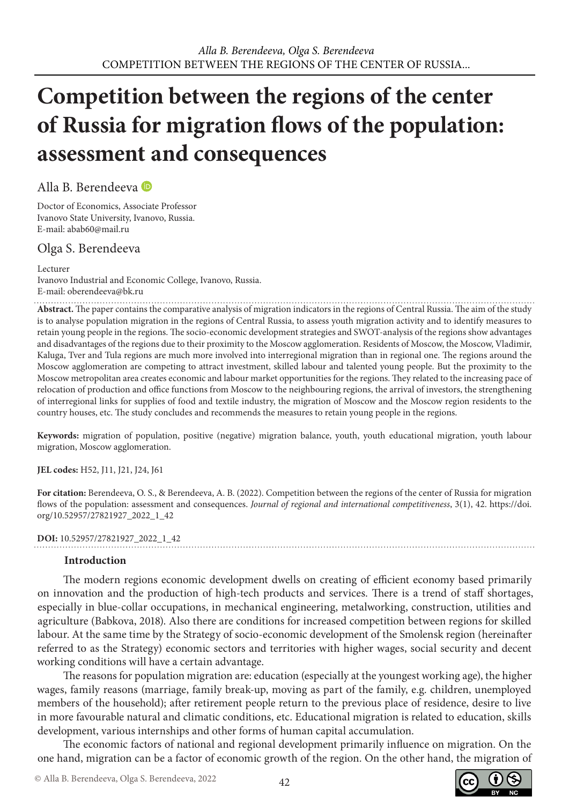# **Competition between the regions of the center of Russia for migration flows of the population: assessment and consequences**

Alla B. Berendeeva

Doctor of Economics, Associate Professor Ivanovo State University, Ivanovo, Russia. E-mail: abab60@mail.ru

## Olga S. Berendeeva

Lecturer

Ivanovo Industrial and Economic College, Ivanovo, Russia. E-mail: oberendeeva@bk.ru

**Abstract.** The paper contains the comparative analysis of migration indicators in the regions of Central Russia. The aim of the study is to analyse population migration in the regions of Central Russia, to assess youth migration activity and to identify measures to retain young people in the regions. The socio-economic development strategies and SWOT-analysis of the regions show advantages and disadvantages of the regions due to their proximity to the Moscow agglomeration. Residents of Moscow, the Moscow, Vladimir, Kaluga, Tver and Tula regions are much more involved into interregional migration than in regional one. The regions around the Moscow agglomeration are competing to attract investment, skilled labour and talented young people. But the proximity to the Moscow metropolitan area creates economic and labour market opportunities for the regions. They related to the increasing pace of relocation of production and office functions from Moscow to the neighbouring regions, the arrival of investors, the strengthening of interregional links for supplies of food and textile industry, the migration of Moscow and the Moscow region residents to the country houses, etc. The study concludes and recommends the measures to retain young people in the regions.

**Keywords:** migration of population, positive (negative) migration balance, youth, youth educational migration, youth labour migration, Moscow agglomeration.

**JEL codes:** H52, J11, J21, J24, J61

**For citation:** Berendeeva, O. S., & Berendeeva, A. B. (2022). Competition between the regions of the center of Russia for migration flows of the population: assessment and consequences. *Journal of regional and international competitiveness*, 3(1), 42. https://doi. org/10.52957/27821927\_2022\_1\_42

**DOI:** 10.52957/27821927\_2022\_1\_42

#### **Introduction**

The modern regions economic development dwells on creating of efficient economy based primarily on innovation and the production of high-tech products and services. There is a trend of staff shortages, especially in blue-collar occupations, in mechanical engineering, metalworking, construction, utilities and agriculture (Babkova, 2018). Also there are conditions for increased competition between regions for skilled labour. At the same time by the Strategy of socio-economic development of the Smolensk region (hereinafter referred to as the Strategy) economic sectors and territories with higher wages, social security and decent working conditions will have a certain advantage.

The reasons for population migration are: education (especially at the youngest working age), the higher wages, family reasons (marriage, family break-up, moving as part of the family, e.g. children, unemployed members of the household); after retirement people return to the previous place of residence, desire to live in more favourable natural and climatic conditions, etc. Educational migration is related to education, skills development, various internships and other forms of human capital accumulation.

The economic factors of national and regional development primarily influence on migration. On the one hand, migration can be a factor of economic growth of the region. On the other hand, the migration of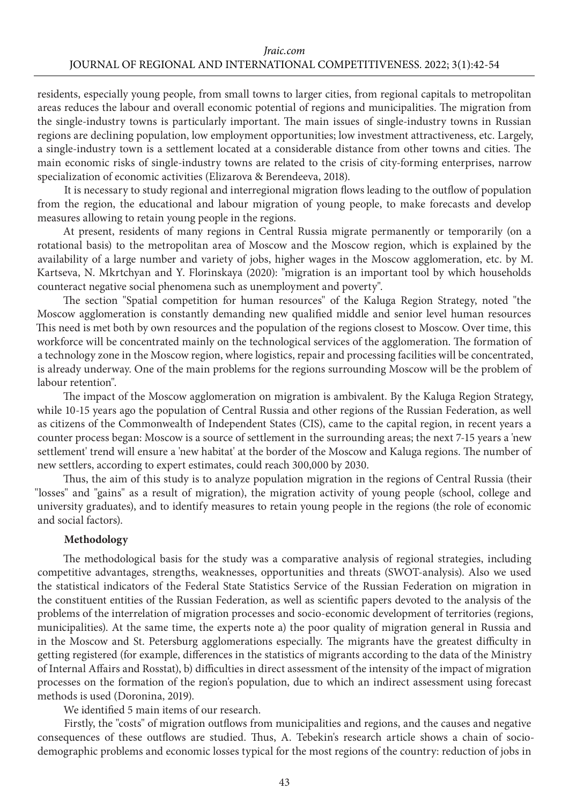residents, especially young people, from small towns to larger cities, from regional capitals to metropolitan areas reduces the labour and overall economic potential of regions and municipalities. The migration from the single-industry towns is particularly important. The main issues of single-industry towns in Russian regions are declining population, low employment opportunities; low investment attractiveness, etc. Largely, a single-industry town is a settlement located at a considerable distance from other towns and cities. The main economic risks of single-industry towns are related to the crisis of city-forming enterprises, narrow specialization of economic activities (Elizarova & Berendeeva, 2018).

It is necessary to study regional and interregional migration flows leading to the outflow of population from the region, the educational and labour migration of young people, to make forecasts and develop measures allowing to retain young people in the regions.

At present, residents of many regions in Central Russia migrate permanently or temporarily (on a rotational basis) to the metropolitan area of Moscow and the Moscow region, which is explained by the availability of a large number and variety of jobs, higher wages in the Moscow agglomeration, etc. by M. Kartseva, N. Mkrtchyan and Y. Florinskaya (2020): "migration is an important tool by which households counteract negative social phenomena such as unemployment and poverty".

The section "Spatial competition for human resources" of the Kaluga Region Strategy, noted "the Moscow agglomeration is constantly demanding new qualified middle and senior level human resources This need is met both by own resources and the population of the regions closest to Moscow. Over time, this workforce will be concentrated mainly on the technological services of the agglomeration. The formation of a technology zone in the Moscow region, where logistics, repair and processing facilities will be concentrated, is already underway. One of the main problems for the regions surrounding Moscow will be the problem of labour retention".

The impact of the Moscow agglomeration on migration is ambivalent. By the Kaluga Region Strategy, while 10-15 years ago the population of Central Russia and other regions of the Russian Federation, as well as citizens of the Commonwealth of Independent States (CIS), came to the capital region, in recent years a counter process began: Moscow is a source of settlement in the surrounding areas; the next 7-15 years a 'new settlement' trend will ensure a 'new habitat' at the border of the Moscow and Kaluga regions. The number of new settlers, according to expert estimates, could reach 300,000 by 2030.

Thus, the aim of this study is to analyze population migration in the regions of Central Russia (their "losses" and "gains" as a result of migration), the migration activity of young people (school, college and university graduates), and to identify measures to retain young people in the regions (the role of economic and social factors).

#### **Methodology**

The methodological basis for the study was a comparative analysis of regional strategies, including competitive advantages, strengths, weaknesses, opportunities and threats (SWOT-analysis). Also we used the statistical indicators of the Federal State Statistics Service of the Russian Federation on migration in the constituent entities of the Russian Federation, as well as scientific papers devoted to the analysis of the problems of the interrelation of migration processes and socio-economic development of territories (regions, municipalities). At the same time, the experts note a) the poor quality of migration general in Russia and in the Moscow and St. Petersburg agglomerations especially. The migrants have the greatest difficulty in getting registered (for example, differences in the statistics of migrants according to the data of the Ministry of Internal Affairs and Rosstat), b) difficulties in direct assessment of the intensity of the impact of migration processes on the formation of the region's population, due to which an indirect assessment using forecast methods is used (Doronina, 2019).

We identified 5 main items of our research.

Firstly, the "costs" of migration outflows from municipalities and regions, and the causes and negative consequences of these outflows are studied. Thus, A. Tebekin's research article shows a chain of sociodemographic problems and economic losses typical for the most regions of the country: reduction of jobs in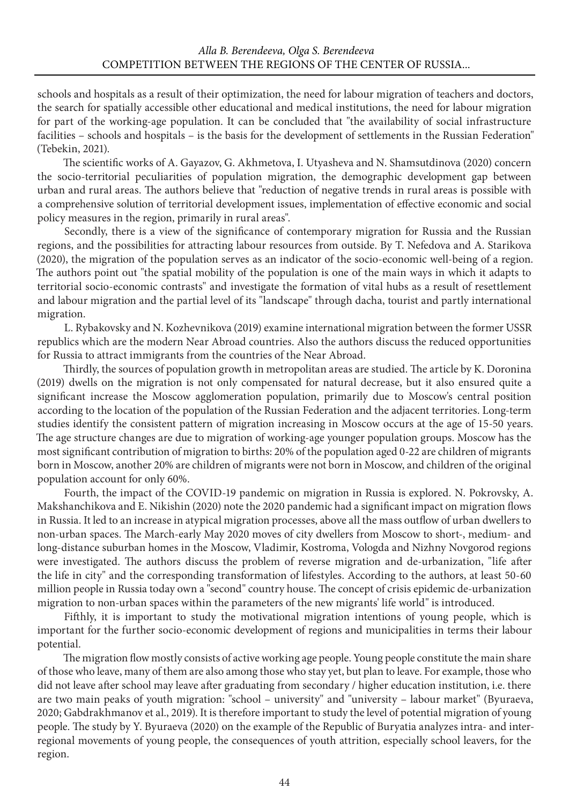schools and hospitals as a result of their optimization, the need for labour migration of teachers and doctors, the search for spatially accessible other educational and medical institutions, the need for labour migration for part of the working-age population. It can be concluded that "the availability of social infrastructure facilities – schools and hospitals – is the basis for the development of settlements in the Russian Federation" (Tebekin, 2021).

The scientific works of А. Gayazov, G. Akhmetova, I. Utyasheva and N. Shamsutdinova (2020) concern the socio-territorial peculiarities of population migration, the demographic development gap between urban and rural areas. The authors believe that "reduction of negative trends in rural areas is possible with a comprehensive solution of territorial development issues, implementation of effective economic and social policy measures in the region, primarily in rural areas".

Secondly, there is a view of the significance of contemporary migration for Russia and the Russian regions, and the possibilities for attracting labour resources from outside. By T. Nefedova and A. Starikova (2020), the migration of the population serves as an indicator of the socio-economic well-being of a region. The authors point out "the spatial mobility of the population is one of the main ways in which it adapts to territorial socio-economic contrasts" and investigate the formation of vital hubs as a result of resettlement and labour migration and the partial level of its "landscape" through dacha, tourist and partly international migration.

L. Rybakovsky and N. Kozhevnikova (2019) examine international migration between the former USSR republics which are the modern Near Abroad countries. Also the authors discuss the reduced opportunities for Russia to attract immigrants from the countries of the Near Abroad.

Thirdly, the sources of population growth in metropolitan areas are studied. The article by K. Doronina (2019) dwells on the migration is not only compensated for natural decrease, but it also ensured quite a significant increase the Moscow agglomeration population, primarily due to Moscow's central position according to the location of the population of the Russian Federation and the adjacent territories. Long-term studies identify the consistent pattern of migration increasing in Moscow occurs at the age of 15-50 years. The age structure changes are due to migration of working-age younger population groups. Moscow has the most significant contribution of migration to births: 20% of the population aged 0-22 are children of migrants born in Moscow, another 20% are children of migrants were not born in Moscow, and children of the original population account for only 60%.

Fourth, the impact of the COVID-19 pandemic on migration in Russia is explored. N. Pokrovsky, A. Makshanchikova and E. Nikishin (2020) note the 2020 pandemic had a significant impact on migration flows in Russia. It led to an increase in atypical migration processes, above all the mass outflow of urban dwellers to non-urban spaces. The March-early May 2020 moves of city dwellers from Moscow to short-, medium- and long-distance suburban homes in the Moscow, Vladimir, Kostroma, Vologda and Nizhny Novgorod regions were investigated. The authors discuss the problem of reverse migration and de-urbanization, "life after the life in city" and the corresponding transformation of lifestyles. According to the authors, at least 50-60 million people in Russia today own a "second" country house. The concept of crisis epidemic de-urbanization migration to non-urban spaces within the parameters of the new migrants' life world" is introduced.

Fifthly, it is important to study the motivational migration intentions of young people, which is important for the further socio-economic development of regions and municipalities in terms their labour potential.

The migration flow mostly consists of active working age people. Young people constitute the main share of those who leave, many of them are also among those who stay yet, but plan to leave. For example, those who did not leave after school may leave after graduating from secondary / higher education institution, i.e. there are two main peaks of youth migration: "school – university" and "university – labour market" (Byuraeva, 2020; Gabdrakhmanov et al., 2019). It is therefore important to study the level of potential migration of young people. The study by Y. Byuraeva (2020) on the example of the Republic of Buryatia analyzes intra- and interregional movements of young people, the consequences of youth attrition, especially school leavers, for the region.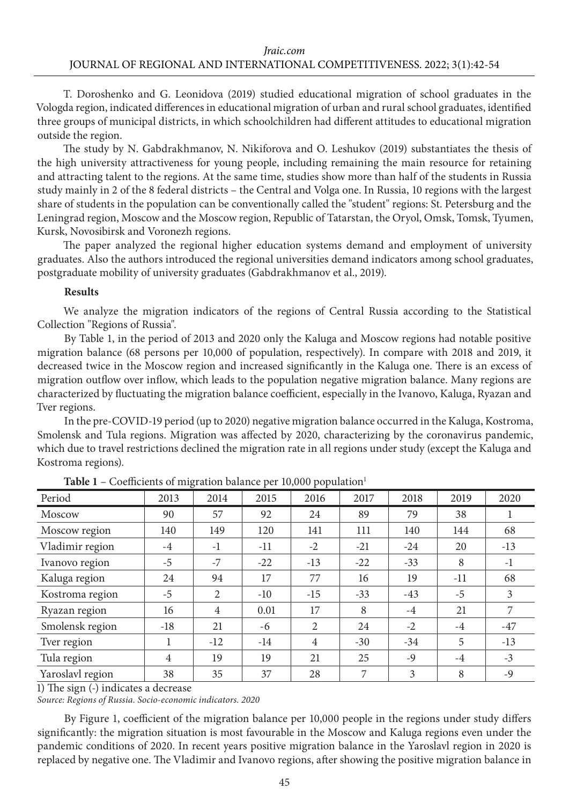Т. Doroshenko and G. Leonidova (2019) studied educational migration of school graduates in the Vologda region, indicated differences in educational migration of urban and rural school graduates, identified three groups of municipal districts, in which schoolchildren had different attitudes to educational migration outside the region.

The study by N. Gabdrakhmanov, N. Nikiforova and O. Leshukov (2019) substantiates the thesis of the high university attractiveness for young people, including remaining the main resource for retaining and attracting talent to the regions. At the same time, studies show more than half of the students in Russia study mainly in 2 of the 8 federal districts – the Central and Volga one. In Russia, 10 regions with the largest share of students in the population can be conventionally called the "student" regions: St. Petersburg and the Leningrad region, Moscow and the Moscow region, Republic of Tatarstan, the Oryol, Omsk, Tomsk, Tyumen, Kursk, Novosibirsk and Voronezh regions.

The paper analyzed the regional higher education systems demand and employment of university graduates. Also the authors introduced the regional universities demand indicators among school graduates, postgraduate mobility of university graduates (Gabdrakhmanov et al., 2019).

#### **Results**

We analyze the migration indicators of the regions of Central Russia according to the Statistical Collection "Regions of Russia".

By Table 1, in the period of 2013 and 2020 only the Kaluga and Moscow regions had notable positive migration balance (68 persons per 10,000 of population, respectively). In compare with 2018 and 2019, it decreased twice in the Moscow region and increased significantly in the Kaluga one. There is an excess of migration outflow over inflow, which leads to the population negative migration balance. Many regions are characterized by fluctuating the migration balance coefficient, especially in the Ivanovo, Kaluga, Ryazan and Tver regions.

In the pre-COVID-19 period (up to 2020) negative migration balance occurred in the Kaluga, Kostroma, Smolensk and Tula regions. Migration was affected by 2020, characterizing by the coronavirus pandemic, which due to travel restrictions declined the migration rate in all regions under study (except the Kaluga and Kostroma regions).

| Period           | 2013           | 2014           | 2015  | 2016           | 2017  | 2018  | 2019  | 2020           |
|------------------|----------------|----------------|-------|----------------|-------|-------|-------|----------------|
| Moscow           | 90             | 57             | 92    | 24             | 89    | 79    | 38    |                |
| Moscow region    | 140            | 149            | 120   | 141            | 111   | 140   | 144   | 68             |
| Vladimir region  | $-4$           | $-1$           | $-11$ | $-2$           | $-21$ | $-24$ | 20    | $-13$          |
| Ivanovo region   | $-5$           | $-7$           | $-22$ | $-13$          | $-22$ | $-33$ | 8     | $-1$           |
| Kaluga region    | 24             | 94             | 17    | 77             | 16    | 19    | $-11$ | 68             |
| Kostroma region  | $-5$           | 2              | $-10$ | $-15$          | $-33$ | $-43$ | $-5$  | $\overline{3}$ |
| Ryazan region    | 16             | $\overline{4}$ | 0.01  | 17             | 8     | $-4$  | 21    |                |
| Smolensk region  | $-18$          | 21             | -6    | 2              | 24    | $-2$  | $-4$  | $-47$          |
| Tver region      |                | $-12$          | $-14$ | $\overline{4}$ | $-30$ | $-34$ | 5     | $-13$          |
| Tula region      | $\overline{4}$ | 19             | 19    | 21             | 25    | $-9$  | $-4$  | $-3$           |
| Yaroslavl region | 38             | 35             | 37    | 28             | 7     | 3     | 8     | $-9$           |

**Table 1** – Coefficients of migration balance per 10,000 population<sup>1</sup>

1) The sign (-) indicates a decrease

*Source: Regions of Russia. Socio-economic indicators. 2020*

By Figure 1, coefficient of the migration balance per 10,000 people in the regions under study differs significantly: the migration situation is most favourable in the Moscow and Kaluga regions even under the pandemic conditions of 2020. In recent years positive migration balance in the Yaroslavl region in 2020 is replaced by negative one. The Vladimir and Ivanovo regions, after showing the positive migration balance in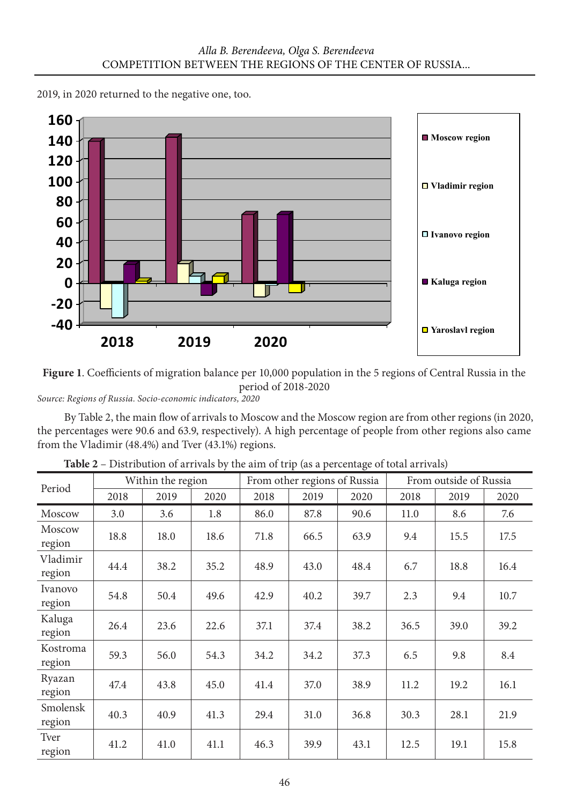

2019, in 2020 returned to the negative one, too.

**Figure 1**. Coefficients of migration balance per 10,000 population in the 5 regions of Central Russia in the period of 2018-2020

*Source: Regions of Russia. Socio-economic indicators, 2020*

By Table 2, the main flow of arrivals to Moscow and the Moscow region are from other regions (in 2020, the percentages were 90.6 and 63.9, respectively). A high percentage of people from other regions also came from the Vladimir (48.4%) and Tver (43.1%) regions.

| Period             | Within the region |      |      |      | From other regions of Russia |      | From outside of Russia |      |      |
|--------------------|-------------------|------|------|------|------------------------------|------|------------------------|------|------|
|                    | 2018              | 2019 | 2020 | 2018 | 2019                         | 2020 | 2018                   | 2019 | 2020 |
| Moscow             | 3.0               | 3.6  | 1.8  | 86.0 | 87.8                         | 90.6 | 11.0                   | 8.6  | 7.6  |
| Moscow<br>region   | 18.8              | 18.0 | 18.6 | 71.8 | 66.5                         | 63.9 | 9.4                    | 15.5 | 17.5 |
| Vladimir<br>region | 44.4              | 38.2 | 35.2 | 48.9 | 43.0                         | 48.4 | 6.7                    | 18.8 | 16.4 |
| Ivanovo<br>region  | 54.8              | 50.4 | 49.6 | 42.9 | 40.2                         | 39.7 | 2.3                    | 9.4  | 10.7 |
| Kaluga<br>region   | 26.4              | 23.6 | 22.6 | 37.1 | 37.4                         | 38.2 | 36.5                   | 39.0 | 39.2 |
| Kostroma<br>region | 59.3              | 56.0 | 54.3 | 34.2 | 34.2                         | 37.3 | 6.5                    | 9.8  | 8.4  |
| Ryazan<br>region   | 47.4              | 43.8 | 45.0 | 41.4 | 37.0                         | 38.9 | 11.2                   | 19.2 | 16.1 |
| Smolensk<br>region | 40.3              | 40.9 | 41.3 | 29.4 | 31.0                         | 36.8 | 30.3                   | 28.1 | 21.9 |
| Tver<br>region     | 41.2              | 41.0 | 41.1 | 46.3 | 39.9                         | 43.1 | 12.5                   | 19.1 | 15.8 |

**Table 2** – Distribution of arrivals by the aim of trip (as a percentage of total arrivals)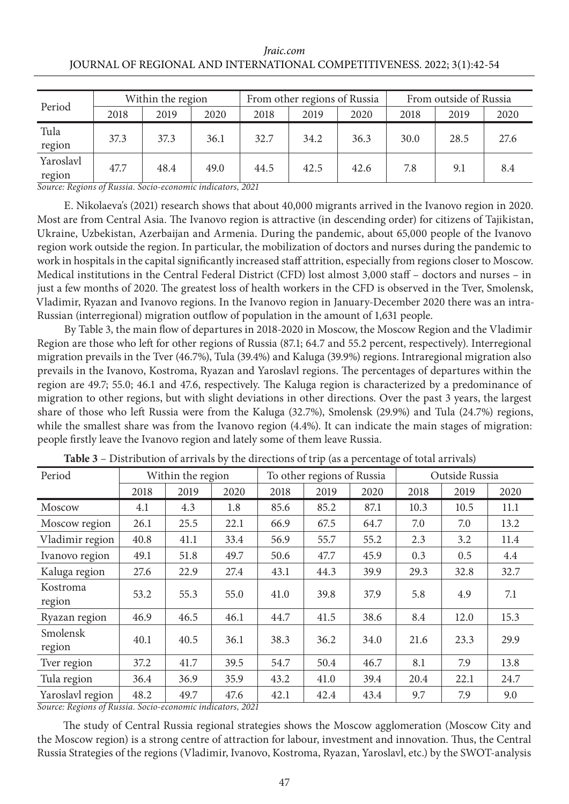#### *Jraic.com* JOURNAL OF REGIONAL AND INTERNATIONAL COMPETITIVENESS. 2022; 3(1):42-54

| Period              | Within the region |      |      |      | From other regions of Russia |      | From outside of Russia |      |      |
|---------------------|-------------------|------|------|------|------------------------------|------|------------------------|------|------|
|                     | 2018              | 2019 | 2020 | 2018 | 2019                         | 2020 | 2018                   | 2019 | 2020 |
| Tula<br>region      | 37.3              | 37.3 | 36.1 | 32.7 | 34.2                         | 36.3 | 30.0                   | 28.5 | 27.6 |
| Yaroslavl<br>region | 47.7              | 48.4 | 49.0 | 44.5 | 42.5                         | 42.6 | 7.8                    | 9.1  | 8.4  |

*Source: Regions of Russia. Socio-economic indicators, 2021*

E. Nikolaeva's (2021) research shows that about 40,000 migrants arrived in the Ivanovo region in 2020. Most are from Central Asia. The Ivanovo region is attractive (in descending order) for citizens of Tajikistan, Ukraine, Uzbekistan, Azerbaijan and Armenia. During the pandemic, about 65,000 people of the Ivanovo region work outside the region. In particular, the mobilization of doctors and nurses during the pandemic to work in hospitals in the capital significantly increased staff attrition, especially from regions closer to Moscow. Medical institutions in the Central Federal District (CFD) lost almost 3,000 staff – doctors and nurses – in just a few months of 2020. The greatest loss of health workers in the CFD is observed in the Tver, Smolensk, Vladimir, Ryazan and Ivanovo regions. In the Ivanovo region in January-December 2020 there was an intra-Russian (interregional) migration outflow of population in the amount of 1,631 people.

By Table 3, the main flow of departures in 2018-2020 in Moscow, the Moscow Region and the Vladimir Region are those who left for other regions of Russia (87.1; 64.7 and 55.2 percent, respectively). Interregional migration prevails in the Tver (46.7%), Tula (39.4%) and Kaluga (39.9%) regions. Intraregional migration also prevails in the Ivanovo, Kostroma, Ryazan and Yaroslavl regions. The percentages of departures within the region are 49.7; 55.0; 46.1 and 47.6, respectively. The Kaluga region is characterized by a predominance of migration to other regions, but with slight deviations in other directions. Over the past 3 years, the largest share of those who left Russia were from the Kaluga (32.7%), Smolensk (29.9%) and Tula (24.7%) regions, while the smallest share was from the Ivanovo region  $(4.4\%)$ . It can indicate the main stages of migration: people firstly leave the Ivanovo region and lately some of them leave Russia.

| Period             | Within the region |      | To other regions of Russia |      |      | Outside Russia |      |      |      |
|--------------------|-------------------|------|----------------------------|------|------|----------------|------|------|------|
|                    | 2018              | 2019 | 2020                       | 2018 | 2019 | 2020           | 2018 | 2019 | 2020 |
| Moscow             | 4.1               | 4.3  | 1.8                        | 85.6 | 85.2 | 87.1           | 10.3 | 10.5 | 11.1 |
| Moscow region      | 26.1              | 25.5 | 22.1                       | 66.9 | 67.5 | 64.7           | 7.0  | 7.0  | 13.2 |
| Vladimir region    | 40.8              | 41.1 | 33.4                       | 56.9 | 55.7 | 55.2           | 2.3  | 3.2  | 11.4 |
| Ivanovo region     | 49.1              | 51.8 | 49.7                       | 50.6 | 47.7 | 45.9           | 0.3  | 0.5  | 4.4  |
| Kaluga region      | 27.6              | 22.9 | 27.4                       | 43.1 | 44.3 | 39.9           | 29.3 | 32.8 | 32.7 |
| Kostroma<br>region | 53.2              | 55.3 | 55.0                       | 41.0 | 39.8 | 37.9           | 5.8  | 4.9  | 7.1  |
| Ryazan region      | 46.9              | 46.5 | 46.1                       | 44.7 | 41.5 | 38.6           | 8.4  | 12.0 | 15.3 |
| Smolensk<br>region | 40.1              | 40.5 | 36.1                       | 38.3 | 36.2 | 34.0           | 21.6 | 23.3 | 29.9 |
| Tver region        | 37.2              | 41.7 | 39.5                       | 54.7 | 50.4 | 46.7           | 8.1  | 7.9  | 13.8 |
| Tula region        | 36.4              | 36.9 | 35.9                       | 43.2 | 41.0 | 39.4           | 20.4 | 22.1 | 24.7 |
| Yaroslavl region   | 48.2              | 49.7 | 47.6                       | 42.1 | 42.4 | 43.4           | 9.7  | 7.9  | 9.0  |

**Table 3** – Distribution of arrivals by the directions of trip (as a percentage of total arrivals)

*Source: Regions of Russia. Socio-economic indicators, 2021*

The study of Central Russia regional strategies shows the Moscow agglomeration (Moscow City and the Moscow region) is a strong centre of attraction for labour, investment and innovation. Thus, the Central Russia Strategies of the regions (Vladimir, Ivanovo, Kostroma, Ryazan, Yaroslavl, etc.) by the SWOT-analysis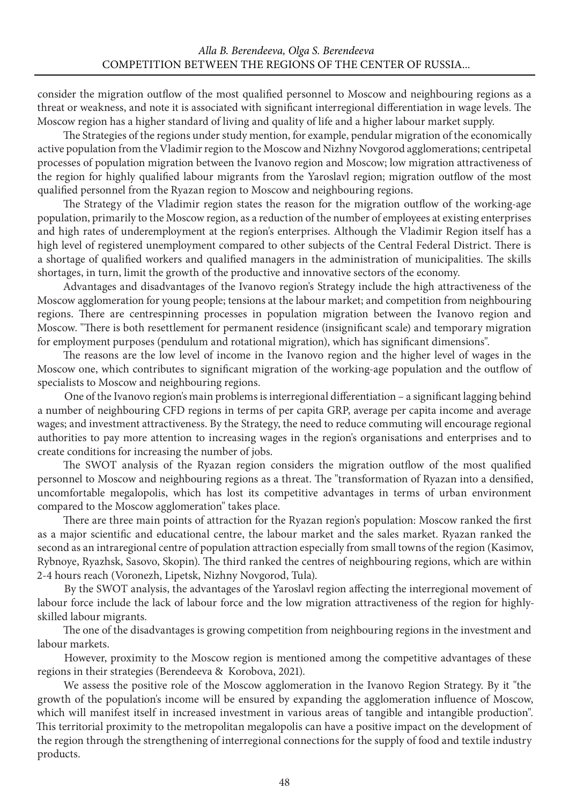consider the migration outflow of the most qualified personnel to Moscow and neighbouring regions as a threat or weakness, and note it is associated with significant interregional differentiation in wage levels. The Moscow region has a higher standard of living and quality of life and a higher labour market supply.

The Strategies of the regions under study mention, for example, pendular migration of the economically active population from the Vladimir region to the Moscow and Nizhny Novgorod agglomerations; centripetal processes of population migration between the Ivanovo region and Moscow; low migration attractiveness of the region for highly qualified labour migrants from the Yaroslavl region; migration outflow of the most qualified personnel from the Ryazan region to Moscow and neighbouring regions.

The Strategy of the Vladimir region states the reason for the migration outflow of the working-age population, primarily to the Moscow region, as a reduction of the number of employees at existing enterprises and high rates of underemployment at the region's enterprises. Although the Vladimir Region itself has a high level of registered unemployment compared to other subjects of the Central Federal District. There is a shortage of qualified workers and qualified managers in the administration of municipalities. The skills shortages, in turn, limit the growth of the productive and innovative sectors of the economy.

Advantages and disadvantages of the Ivanovo region's Strategy include the high attractiveness of the Moscow agglomeration for young people; tensions at the labour market; and competition from neighbouring regions. There are centrespinning processes in population migration between the Ivanovo region and Moscow. "There is both resettlement for permanent residence (insignificant scale) and temporary migration for employment purposes (pendulum and rotational migration), which has significant dimensions".

The reasons are the low level of income in the Ivanovo region and the higher level of wages in the Moscow one, which contributes to significant migration of the working-age population and the outflow of specialists to Moscow and neighbouring regions.

One of the Ivanovo region's main problems is interregional differentiation – a significant lagging behind a number of neighbouring CFD regions in terms of per capita GRP, average per capita income and average wages; and investment attractiveness. By the Strategy, the need to reduce commuting will encourage regional authorities to pay more attention to increasing wages in the region's organisations and enterprises and to create conditions for increasing the number of jobs.

The SWOT analysis of the Ryazan region considers the migration outflow of the most qualified personnel to Moscow and neighbouring regions as a threat. The "transformation of Ryazan into a densified, uncomfortable megalopolis, which has lost its competitive advantages in terms of urban environment compared to the Moscow agglomeration" takes place.

There are three main points of attraction for the Ryazan region's population: Moscow ranked the first as a major scientific and educational centre, the labour market and the sales market. Ryazan ranked the second as an intraregional centre of population attraction especially from small towns of the region (Kasimov, Rybnoye, Ryazhsk, Sasovo, Skopin). The third ranked the centres of neighbouring regions, which are within 2-4 hours reach (Voronezh, Lipetsk, Nizhny Novgorod, Tula).

By the SWOT analysis, the advantages of the Yaroslavl region affecting the interregional movement of labour force include the lack of labour force and the low migration attractiveness of the region for highlyskilled labour migrants.

The one of the disadvantages is growing competition from neighbouring regions in the investment and labour markets.

However, proximity to the Moscow region is mentioned among the competitive advantages of these regions in their strategies (Berendeeva & Korobova, 2021).

We assess the positive role of the Moscow agglomeration in the Ivanovo Region Strategy. By it "the growth of the population's income will be ensured by expanding the agglomeration influence of Moscow, which will manifest itself in increased investment in various areas of tangible and intangible production". This territorial proximity to the metropolitan megalopolis can have a positive impact on the development of the region through the strengthening of interregional connections for the supply of food and textile industry products.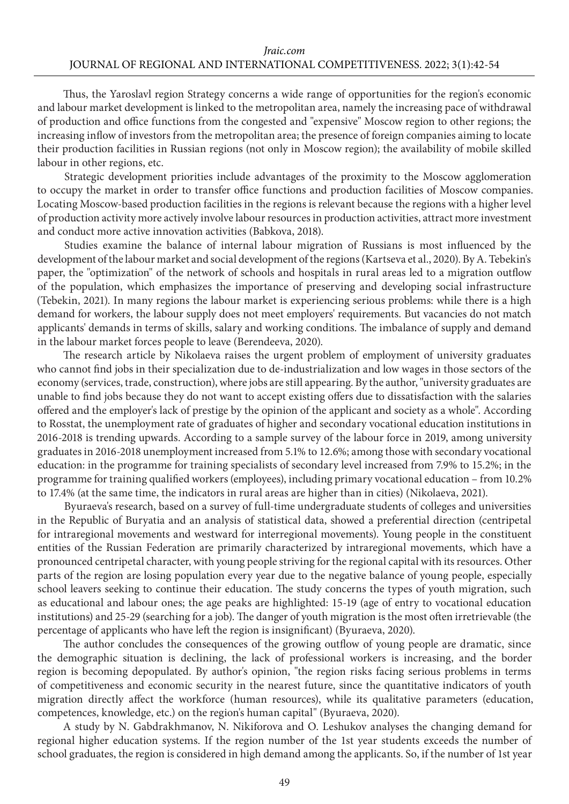Thus, the Yaroslavl region Strategy concerns a wide range of opportunities for the region's economic and labour market development is linked to the metropolitan area, namely the increasing pace of withdrawal of production and office functions from the congested and "expensive" Moscow region to other regions; the increasing inflow of investors from the metropolitan area; the presence of foreign companies aiming to locate their production facilities in Russian regions (not only in Moscow region); the availability of mobile skilled labour in other regions, etc.

Strategic development priorities include advantages of the proximity to the Moscow agglomeration to occupy the market in order to transfer office functions and production facilities of Moscow companies. Locating Moscow-based production facilities in the regions is relevant because the regions with a higher level of production activity more actively involve labour resources in production activities, attract more investment and conduct more active innovation activities (Babkova, 2018).

Studies examine the balance of internal labour migration of Russians is most influenced by the development of the labour market and social development of the regions (Kartseva et al., 2020). By A. Tebekin's paper, the "optimization" of the network of schools and hospitals in rural areas led to a migration outflow of the population, which emphasizes the importance of preserving and developing social infrastructure (Tebekin, 2021). In many regions the labour market is experiencing serious problems: while there is a high demand for workers, the labour supply does not meet employers' requirements. But vacancies do not match applicants' demands in terms of skills, salary and working conditions. The imbalance of supply and demand in the labour market forces people to leave (Berendeeva, 2020).

The research article by Nikolaeva raises the urgent problem of employment of university graduates who cannot find jobs in their specialization due to de-industrialization and low wages in those sectors of the economy (services, trade, construction), where jobs are still appearing. By the author, "university graduates are unable to find jobs because they do not want to accept existing offers due to dissatisfaction with the salaries offered and the employer's lack of prestige by the opinion of the applicant and society as a whole". According to Rosstat, the unemployment rate of graduates of higher and secondary vocational education institutions in 2016-2018 is trending upwards. According to a sample survey of the labour force in 2019, among university graduates in 2016-2018 unemployment increased from 5.1% to 12.6%; among those with secondary vocational education: in the programme for training specialists of secondary level increased from 7.9% to 15.2%; in the programme for training qualified workers (employees), including primary vocational education – from 10.2% to 17.4% (at the same time, the indicators in rural areas are higher than in cities) (Nikolaeva, 2021).

Byuraeva's research, based on a survey of full-time undergraduate students of colleges and universities in the Republic of Buryatia and an analysis of statistical data, showed a preferential direction (centripetal for intraregional movements and westward for interregional movements). Young people in the constituent entities of the Russian Federation are primarily characterized by intraregional movements, which have a pronounced centripetal character, with young people striving for the regional capital with its resources. Other parts of the region are losing population every year due to the negative balance of young people, especially school leavers seeking to continue their education. The study concerns the types of youth migration, such as educational and labour ones; the age peaks are highlighted: 15-19 (age of entry to vocational education institutions) and 25-29 (searching for a job). The danger of youth migration is the most often irretrievable (the percentage of applicants who have left the region is insignificant) (Byuraeva, 2020).

The author concludes the consequences of the growing outflow of young people are dramatic, since the demographic situation is declining, the lack of professional workers is increasing, and the border region is becoming depopulated. By author's opinion, "the region risks facing serious problems in terms of competitiveness and economic security in the nearest future, since the quantitative indicators of youth migration directly affect the workforce (human resources), while its qualitative parameters (education, competences, knowledge, etc.) on the region's human capital" (Byuraeva, 2020).

A study by N. Gabdrakhmanov, N. Nikiforova and O. Leshukov analyses the changing demand for regional higher education systems. If the region number of the 1st year students exceeds the number of school graduates, the region is considered in high demand among the applicants. So, if the number of 1st year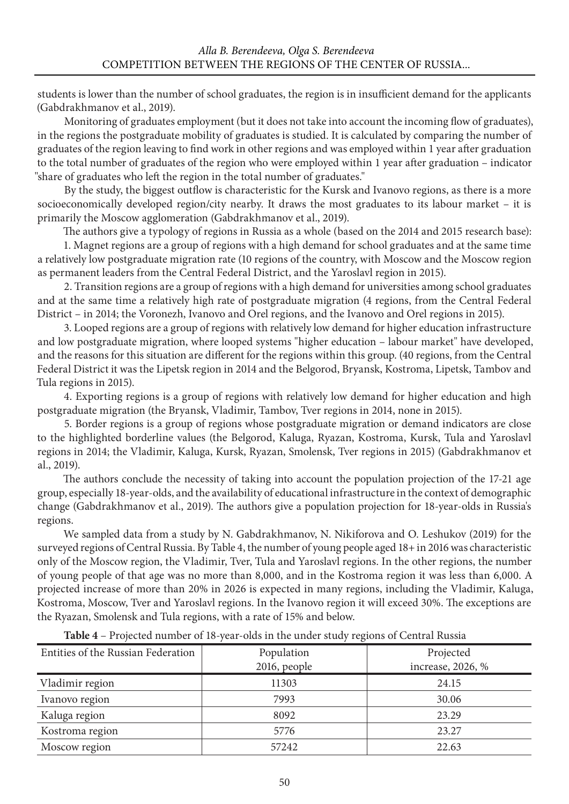students is lower than the number of school graduates, the region is in insufficient demand for the applicants (Gabdrakhmanov et al., 2019).

Monitoring of graduates employment (but it does not take into account the incoming flow of graduates), in the regions the postgraduate mobility of graduates is studied. It is calculated by comparing the number of graduates of the region leaving to find work in other regions and was employed within 1 year after graduation to the total number of graduates of the region who were employed within 1 year after graduation – indicator "share of graduates who left the region in the total number of graduates."

By the study, the biggest outflow is characteristic for the Kursk and Ivanovo regions, as there is a more socioeconomically developed region/city nearby. It draws the most graduates to its labour market – it is primarily the Moscow agglomeration (Gabdrakhmanov et al., 2019).

The authors give a typology of regions in Russia as a whole (based on the 2014 and 2015 research base):

1. Magnet regions are a group of regions with a high demand for school graduates and at the same time a relatively low postgraduate migration rate (10 regions of the country, with Moscow and the Moscow region as permanent leaders from the Central Federal District, and the Yaroslavl region in 2015).

2. Transition regions are a group of regions with a high demand for universities among school graduates and at the same time a relatively high rate of postgraduate migration (4 regions, from the Central Federal District – in 2014; the Voronezh, Ivanovo and Orel regions, and the Ivanovo and Orel regions in 2015).

3. Looped regions are a group of regions with relatively low demand for higher education infrastructure and low postgraduate migration, where looped systems "higher education – labour market" have developed, and the reasons for this situation are different for the regions within this group. (40 regions, from the Central Federal District it was the Lipetsk region in 2014 and the Belgorod, Bryansk, Kostroma, Lipetsk, Tambov and Tula regions in 2015).

4. Exporting regions is a group of regions with relatively low demand for higher education and high postgraduate migration (the Bryansk, Vladimir, Tambov, Tver regions in 2014, none in 2015).

5. Border regions is a group of regions whose postgraduate migration or demand indicators are close to the highlighted borderline values (the Belgorod, Kaluga, Ryazan, Kostroma, Kursk, Tula and Yaroslavl regions in 2014; the Vladimir, Kaluga, Kursk, Ryazan, Smolensk, Tver regions in 2015) (Gabdrakhmanov et al., 2019).

The authors conclude the necessity of taking into account the population projection of the 17-21 age group, especially 18-year-olds, and the availability of educational infrastructure in the context of demographic change (Gabdrakhmanov et al., 2019). The authors give a population projection for 18-year-olds in Russia's regions.

We sampled data from a study by N. Gabdrakhmanov, N. Nikiforova and O. Leshukov (2019) for the surveyed regions of Central Russia. By Table 4, the number of young people aged 18+ in 2016 was characteristic only of the Moscow region, the Vladimir, Tver, Tula and Yaroslavl regions. In the other regions, the number of young people of that age was no more than 8,000, and in the Kostroma region it was less than 6,000. A projected increase of more than 20% in 2026 is expected in many regions, including the Vladimir, Kaluga, Kostroma, Moscow, Tver and Yaroslavl regions. In the Ivanovo region it will exceed 30%. The exceptions are the Ryazan, Smolensk and Tula regions, with a rate of 15% and below.

| Entities of the Russian Federation | Population   | Projected         |  |  |
|------------------------------------|--------------|-------------------|--|--|
|                                    | 2016, people | increase, 2026, % |  |  |
| Vladimir region                    | 11303        | 24.15             |  |  |
| Ivanovo region                     | 7993         | 30.06             |  |  |
| Kaluga region                      | 8092         | 23.29             |  |  |
| Kostroma region                    | 5776         | 23.27             |  |  |
| Moscow region                      | 57242        | 22.63             |  |  |

**Table 4** – Projected number of 18-year-olds in the under study regions of Central Russia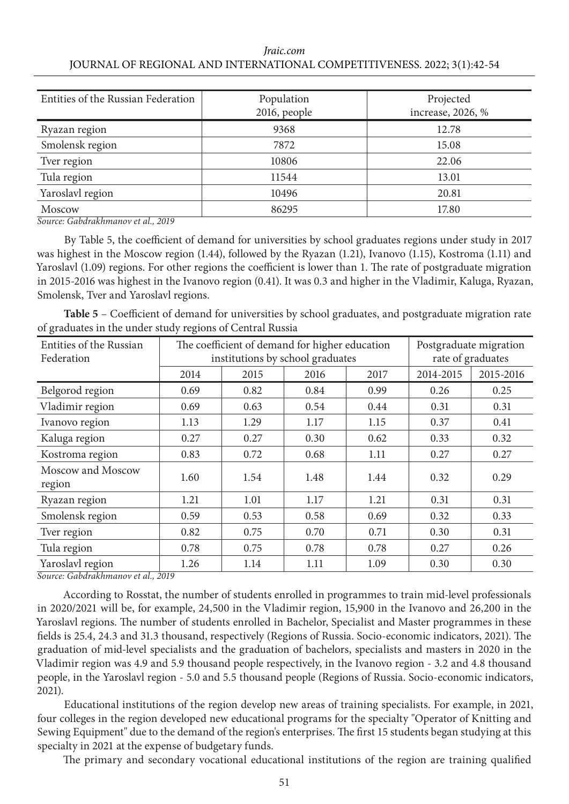#### *Jraic.com* JOURNAL OF REGIONAL AND INTERNATIONAL COMPETITIVENESS. 2022; 3(1):42-54

| Entities of the Russian Federation                                                               | Population<br>2016, people | Projected<br>increase, 2026, % |
|--------------------------------------------------------------------------------------------------|----------------------------|--------------------------------|
| Ryazan region                                                                                    | 9368                       | 12.78                          |
| Smolensk region                                                                                  | 7872                       | 15.08                          |
| Tver region                                                                                      | 10806                      | 22.06                          |
| Tula region                                                                                      | 11544                      | 13.01                          |
| Yaroslavl region                                                                                 | 10496                      | 20.81                          |
| Moscow<br>$\sim$ $\sim$ $\sim$ $\sim$ $\sim$ $\sim$ $\sim$<br>$\sim$ $\sim$ $\sim$ $\sim$ $\sim$ | 86295                      | 17.80                          |

*Source: Gabdrakhmanov et al., 2019*

By Table 5, the coefficient of demand for universities by school graduates regions under study in 2017 was highest in the Moscow region (1.44), followed by the Ryazan (1.21), Ivanovo (1.15), Kostroma (1.11) and Yaroslavl (1.09) regions. For other regions the coefficient is lower than 1. The rate of postgraduate migration in 2015-2016 was highest in the Ivanovo region (0.41). It was 0.3 and higher in the Vladimir, Kaluga, Ryazan, Smolensk, Tver and Yaroslavl regions.

**Table 5** – Coefficient of demand for universities by school graduates, and postgraduate migration rate of graduates in the under study regions of Central Russia

| Entities of the Russian     |      | The coefficient of demand for higher education | Postgraduate migration |      |           |           |
|-----------------------------|------|------------------------------------------------|------------------------|------|-----------|-----------|
| Federation                  |      | institutions by school graduates               | rate of graduates      |      |           |           |
|                             | 2014 | 2015                                           | 2016                   | 2017 | 2014-2015 | 2015-2016 |
| Belgorod region             | 0.69 | 0.82                                           | 0.84                   | 0.99 | 0.26      | 0.25      |
| Vladimir region             | 0.69 | 0.63                                           | 0.54                   | 0.44 | 0.31      | 0.31      |
| Ivanovo region              | 1.13 | 1.29                                           | 1.17                   | 1.15 | 0.37      | 0.41      |
| Kaluga region               | 0.27 | 0.27                                           | 0.30                   | 0.62 | 0.33      | 0.32      |
| Kostroma region             | 0.83 | 0.72                                           | 0.68                   | 1.11 | 0.27      | 0.27      |
| Moscow and Moscow<br>region | 1.60 | 1.54                                           | 1.48                   | 1.44 | 0.32      | 0.29      |
| Ryazan region               | 1.21 | 1.01                                           | 1.17                   | 1.21 | 0.31      | 0.31      |
| Smolensk region             | 0.59 | 0.53                                           | 0.58                   | 0.69 | 0.32      | 0.33      |
| Tver region                 | 0.82 | 0.75                                           | 0.70                   | 0.71 | 0.30      | 0.31      |
| Tula region                 | 0.78 | 0.75                                           | 0.78                   | 0.78 | 0.27      | 0.26      |
| Yaroslavl region            | 1.26 | 1.14                                           | 1.11                   | 1.09 | 0.30      | 0.30      |

*Source: Gabdrakhmanov et al., 2019*

According to Rosstat, the number of students enrolled in programmes to train mid-level professionals in 2020/2021 will be, for example, 24,500 in the Vladimir region, 15,900 in the Ivanovo and 26,200 in the Yaroslavl regions. The number of students enrolled in Bachelor, Specialist and Master programmes in these fields is 25.4, 24.3 and 31.3 thousand, respectively (Regions of Russia. Socio-economic indicators, 2021). The graduation of mid-level specialists and the graduation of bachelors, specialists and masters in 2020 in the Vladimir region was 4.9 and 5.9 thousand people respectively, in the Ivanovo region - 3.2 and 4.8 thousand people, in the Yaroslavl region - 5.0 and 5.5 thousand people (Regions of Russia. Socio-economic indicators, 2021).

Educational institutions of the region develop new areas of training specialists. For example, in 2021, four colleges in the region developed new educational programs for the specialty "Operator of Knitting and Sewing Equipment" due to the demand of the region's enterprises. The first 15 students began studying at this specialty in 2021 at the expense of budgetary funds.

The primary and secondary vocational educational institutions of the region are training qualified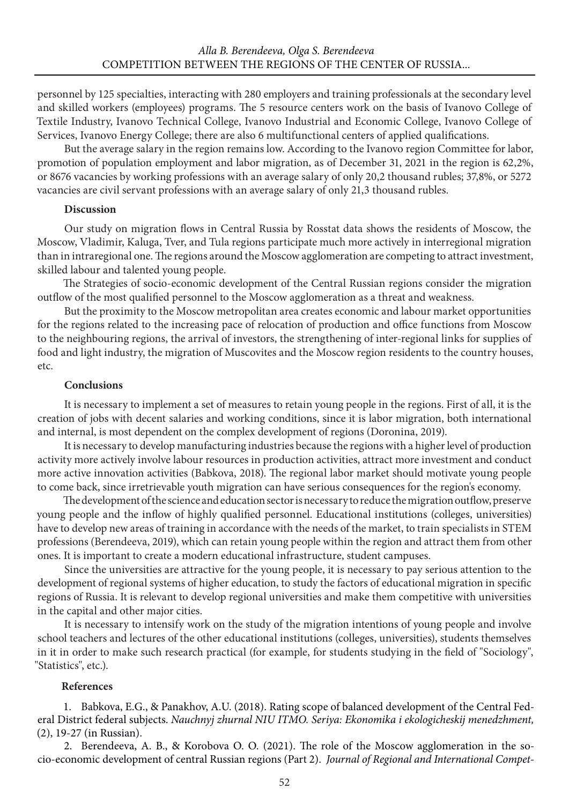personnel by 125 specialties, interacting with 280 employers and training professionals at the secondary level and skilled workers (employees) programs. The 5 resource centers work on the basis of Ivanovo College of Textile Industry, Ivanovo Technical College, Ivanovo Industrial and Economic College, Ivanovo College of Services, Ivanovo Energy College; there are also 6 multifunctional centers of applied qualifications.

But the average salary in the region remains low. According to the Ivanovo region Committee for labor, promotion of population employment and labor migration, as of December 31, 2021 in the region is 62,2%, or 8676 vacancies by working professions with an average salary of only 20,2 thousand rubles; 37,8%, or 5272 vacancies are civil servant professions with an average salary of only 21,3 thousand rubles.

#### **Discussion**

Our study on migration flows in Central Russia by Rosstat data shows the residents of Moscow, the Moscow, Vladimir, Kaluga, Tver, and Tula regions participate much more actively in interregional migration than in intraregional one. The regions around the Moscow agglomeration are competing to attract investment, skilled labour and talented young people.

The Strategies of socio-economic development of the Central Russian regions consider the migration outflow of the most qualified personnel to the Moscow agglomeration as a threat and weakness.

But the proximity to the Moscow metropolitan area creates economic and labour market opportunities for the regions related to the increasing pace of relocation of production and office functions from Moscow to the neighbouring regions, the arrival of investors, the strengthening of inter-regional links for supplies of food and light industry, the migration of Muscovites and the Moscow region residents to the country houses, etc.

#### **Conclusions**

It is necessary to implement a set of measures to retain young people in the regions. First of all, it is the creation of jobs with decent salaries and working conditions, since it is labor migration, both international and internal, is most dependent on the complex development of regions (Doronina, 2019).

It is necessary to develop manufacturing industries because the regions with a higher level of production activity more actively involve labour resources in production activities, attract more investment and conduct more active innovation activities (Babkova, 2018). The regional labor market should motivate young people to come back, since irretrievable youth migration can have serious consequences for the region's economy.

The development of the science and education sector is necessary to reduce the migration outflow, preserve young people and the inflow of highly qualified personnel. Educational institutions (colleges, universities) have to develop new areas of training in accordance with the needs of the market, to train specialists in STEM professions (Berendeeva, 2019), which can retain young people within the region and attract them from other ones. It is important to create a modern educational infrastructure, student campuses.

Since the universities are attractive for the young people, it is necessary to pay serious attention to the development of regional systems of higher education, to study the factors of educational migration in specific regions of Russia. It is relevant to develop regional universities and make them competitive with universities in the capital and other major cities.

It is necessary to intensify work on the study of the migration intentions of young people and involve school teachers and lectures of the other educational institutions (colleges, universities), students themselves in it in order to make such research practical (for example, for students studying in the field of "Sociology", "Statistics", etc.).

### **References**

1. Babkova, E.G., & Panakhov, A.U. (2018). Rating scope of balanced development of the Central Federal District federal subjects. *Nauchnyj zhurnal NIU ITMO. Seriya: Ekonomika i ekologicheskij menedzhment,* (2), 19-27 (in Russian).

2. Berendeeva, A. B., & Korobova O. O. (2021). The role of the Moscow agglomeration in the socio-economic development of central Russian regions (Part 2). *Journal of Regional and International Compet-*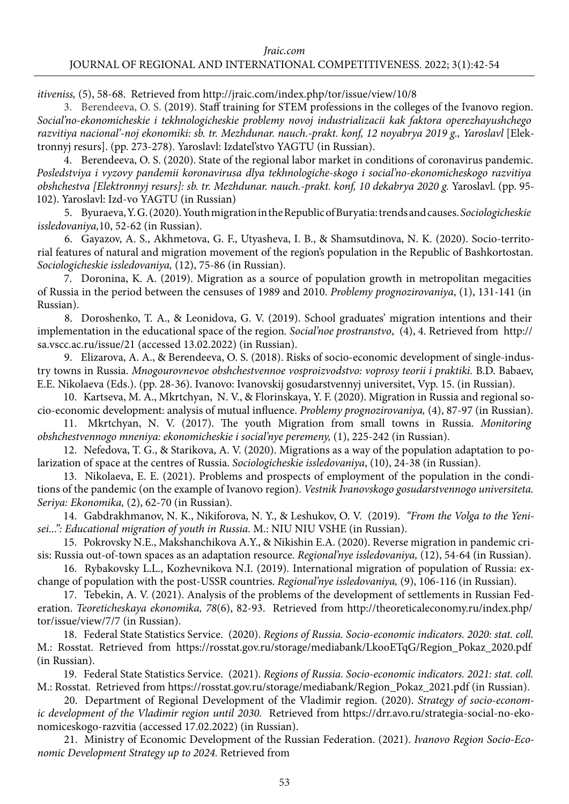*itiveniss,* (5), 58-68. Retrieved from http://jraic.com/index.php/tor/issue/view/10/8

3. Berendeeva, O. S. (2019). Staff training for STEM professions in the colleges of the Ivanovo region. *Social'no-ekonomicheskie i tekhnologicheskie problemy novoj industrializacii kak faktora operezhayushchego razvitiya nacional'-noj ekonomiki: sb. tr. Mezhdunar. nauch.-prakt. konf, 12 noyabrya 2019 g., Yaroslavl* [Elektronnyj resurs]. (pp. 273-278). Yaroslavl: Izdatel'stvo YAGTU (in Russian).

4. Berendeeva, O. S. (2020). State of the regional labor market in conditions of coronavirus pandemic. *Posledstviya i vyzovy pandemii koronavirusa dlya tekhnologiche-skogo i social'no-ekonomicheskogo razvitiya obshchestva [Elektronnyj resurs]: sb. tr. Mezhdunar. nauch.-prakt. konf, 10 dekabrya 2020 g.* Yaroslavl. (pp. 95- 102). Yaroslavl: Izd-vo YAGTU (in Russian)

5. Byuraeva, Y. G. (2020). Youth migration in the Republic of Buryatia: trends and causes. *Sociologicheskie issledovaniya,*10, 52-62 (in Russian).

6. Gayazov, A. S., Akhmetova, G. F., Utyasheva, I. B., & Shamsutdinova, N. K. (2020). Socio-territorial features of natural and migration movement of the region's population in the Republic of Bashkortostan. *Sociologicheskie issledovaniya,* (12), 75-86 (in Russian).

7. Doronina, K. A. (2019). Migration as a source of population growth in metropolitan megacities of Russia in the period between the censuses of 1989 and 2010. *Problemy prognozirovaniya*, (1), 131-141 (in Russian).

8. Doroshenko, T. A., & Leonidova, G. V. (2019). School graduates' migration intentions and their implementation in the educational space of the region*. Social'noe prostranstvo*, (4), 4. Retrieved from http:// sa.vscc.ac.ru/issue/21 (accessed 13.02.2022) (in Russian).

9. Elizarova, A. A., & Berendeeva, O. S. (2018). Risks of socio-economic development of single-industry towns in Russia. *Mnogourovnevoe obshchestvennoe vosproizvodstvo: voprosy teorii i praktiki.* B.D. Babaev, E.E. Nikolaeva (Eds.). (pp. 28-36). Ivanovo: Ivanovskij gosudarstvennyj universitet, Vyp. 15. (in Russian).

10. Kartseva, M. A., Mkrtchyan, N. V., & Florinskaya, Y. F. (2020). Migration in Russia and regional socio-economic development: analysis of mutual influence. *Problemy prognozirovaniya,* (4), 87-97 (in Russian).

11. Mkrtchyan, N. V. (2017). The youth Migration from small towns in Russia. *Monitoring obshchestvennogo mneniya: ekonomicheskie i social'nye peremeny,* (1), 225-242 (in Russian).

12. Nefedova, T. G., & Starikova, A. V. (2020). Migrations as a way of the population adaptation to polarization of space at the centres of Russia. *Sociologicheskie issledovaniya*, (10), 24-38 (in Russian).

13. Nikolaeva, E. E. (2021). Problems and prospects of employment of the population in the conditions of the pandemic (on the example of Ivanovo region). *Vestnik Ivanovskogo gosudarstvennogo universiteta. Seriya: Ekonomika,* (2), 62-70 (in Russian).

14. Gabdrakhmanov, N. K., Nikiforova, N. Y., & Leshukov, O. V. (2019). *"From the Volga to the Yenisei...": Educational migration of youth in Russia.* M.: NIU NIU VSHE (in Russian).

15. Pokrovsky N.E., Makshanchikova A.Y., & Nikishin E.A. (2020). Reverse migration in pandemic crisis: Russia out-of-town spaces as an adaptation resource. *Regional'nye issledovaniya,* (12), 54-64 (in Russian).

16. Rybakovsky L.L., Kozhevnikova N.I. (2019). International migration of population of Russia: exchange of population with the post-USSR countries. *Regional'nye issledovaniya,* (9), 106-116 (in Russian).

17. Tebekin, A. V. (2021). Analysis of the problems of the development of settlements in Russian Federation. *Teoreticheskaya ekonomika, 78*(6), 82-93. Retrieved from http://theoreticaleconomy.ru/index.php/ tor/issue/view/7/7 (in Russian).

18. Federal State Statistics Service. (2020). *Regions of Russia. Socio-economic indicators. 2020: stat. coll.* М.: Rosstat. Retrieved from https://rosstat.gov.ru/storage/mediabank/LkooETqG/Region\_Pokaz\_2020.pdf (in Russian).

19. Federal State Statistics Service. (2021). *Regions of Russia. Socio-economic indicators. 2021: stat. coll.* М.: Rosstat. Retrieved from [https://rosstat.gov.ru/storage/mediabank/Region\\_Pokaz\\_2021.pdf](https://rosstat.gov.ru/storage/mediabank/Region_Pokaz_2021.pdf) (in Russian).

20. Department of Regional Development of the Vladimir region. (2020). *Strategy of socio-economic development of the Vladimir region until 2030.* Retrieved fro[m https://drr.avo.ru/strategia-social-no-eko](file:///Users/maksimmarkin/Library/Containers/Mail.Ru.DiskO.as/Data/Disk-O.as.mounts/max_miru@mail.ru-mailru/%d0%96%d1%83%d1%80%d0%bd%d0%b0%d0%bb/%d0%9d%d0%be%d0%b2%d1%8b%d0%b8%cc%86%20%d0%b6%d1%83%d1%80%d0%bd%d0%b0%d0%bb/%d0%bd%d0%be%d0%bc%d0%b5%d1%80%206/%d0%a0%d0%b8%d1%81%d1%83%d0%bd%d0%ba%d0%b8%20%20%d0%b8%20%d0%b8%d1%81%d1%85%d0%be%d0%b4%d0%bd%d0%b8%d0%ba%d0%b8/%20https://drr.avo.ru/strategia-social-no-ekonomiceskogo-razvitia)[nomiceskogo-razvitia](file:///Users/maksimmarkin/Library/Containers/Mail.Ru.DiskO.as/Data/Disk-O.as.mounts/max_miru@mail.ru-mailru/%d0%96%d1%83%d1%80%d0%bd%d0%b0%d0%bb/%d0%9d%d0%be%d0%b2%d1%8b%d0%b8%cc%86%20%d0%b6%d1%83%d1%80%d0%bd%d0%b0%d0%bb/%d0%bd%d0%be%d0%bc%d0%b5%d1%80%206/%d0%a0%d0%b8%d1%81%d1%83%d0%bd%d0%ba%d0%b8%20%20%d0%b8%20%d0%b8%d1%81%d1%85%d0%be%d0%b4%d0%bd%d0%b8%d0%ba%d0%b8/%20https://drr.avo.ru/strategia-social-no-ekonomiceskogo-razvitia) (accessed 17.02.2022) (in Russian).

21. Ministry of Economic Development of the Russian Federation. (2021). *Ivanovo Region Socio-Economic Development Strategy up to 2024.* Retrieved from